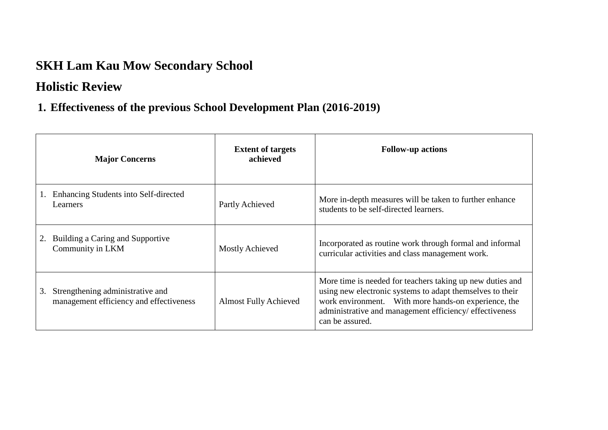# **SKH Lam Kau Mow Secondary School**

### **Holistic Review**

### **1. Effectiveness of the previous School Development Plan (2016-2019)**

| <b>Major Concerns</b>                                                             | <b>Extent of targets</b><br>achieved | <b>Follow-up actions</b>                                                                                                                                                                                                                                     |
|-----------------------------------------------------------------------------------|--------------------------------------|--------------------------------------------------------------------------------------------------------------------------------------------------------------------------------------------------------------------------------------------------------------|
| Enhancing Students into Self-directed<br>Learners                                 | Partly Achieved                      | More in-depth measures will be taken to further enhance<br>students to be self-directed learners.                                                                                                                                                            |
| Building a Caring and Supportive<br>2.<br>Community in LKM                        | <b>Mostly Achieved</b>               | Incorporated as routine work through formal and informal<br>curricular activities and class management work.                                                                                                                                                 |
| Strengthening administrative and<br>3.<br>management efficiency and effectiveness | <b>Almost Fully Achieved</b>         | More time is needed for teachers taking up new duties and<br>using new electronic systems to adapt themselves to their<br>work environment. With more hands-on experience, the<br>administrative and management efficiency/ effectiveness<br>can be assured. |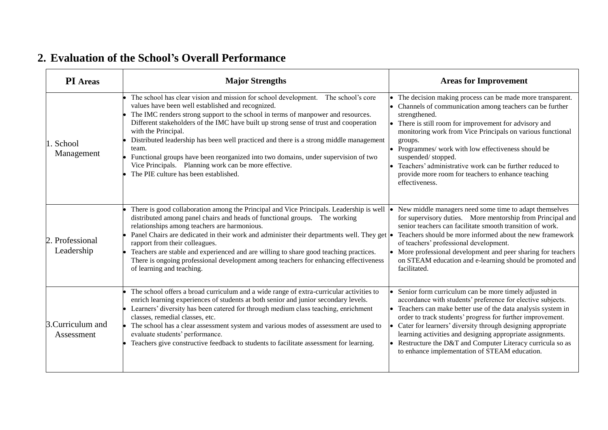## **2. Evaluation of the School's Overall Performance**

| <b>PI</b> Areas                 | <b>Major Strengths</b>                                                                                                                                                                                                                                                                                                                                                                                                                                                                                                                                                                                                                | <b>Areas for Improvement</b>                                                                                                                                                                                                                                                                                                                                                                                                                                                                      |
|---------------------------------|---------------------------------------------------------------------------------------------------------------------------------------------------------------------------------------------------------------------------------------------------------------------------------------------------------------------------------------------------------------------------------------------------------------------------------------------------------------------------------------------------------------------------------------------------------------------------------------------------------------------------------------|---------------------------------------------------------------------------------------------------------------------------------------------------------------------------------------------------------------------------------------------------------------------------------------------------------------------------------------------------------------------------------------------------------------------------------------------------------------------------------------------------|
| . School<br>Management          | The school has clear vision and mission for school development. The school's core<br>values have been well established and recognized.<br>The IMC renders strong support to the school in terms of manpower and resources.<br>Different stakeholders of the IMC have built up strong sense of trust and cooperation<br>with the Principal.<br>Distributed leadership has been well practiced and there is a strong middle management<br>team.<br>Functional groups have been reorganized into two domains, under supervision of two<br>Vice Principals. Planning work can be more effective.<br>The PIE culture has been established. | The decision making process can be made more transparent.<br>Channels of communication among teachers can be further<br>strengthened.<br>There is still room for improvement for advisory and<br>monitoring work from Vice Principals on various functional<br>groups.<br>Programmes/ work with low effectiveness should be<br>$\bullet$<br>suspended/stopped.<br>Teachers' administrative work can be further reduced to<br>provide more room for teachers to enhance teaching<br>effectiveness. |
| Professional<br>Leadership      | There is good collaboration among the Principal and Vice Principals. Leadership is well<br>distributed among panel chairs and heads of functional groups. The working<br>relationships among teachers are harmonious.<br>Panel Chairs are dedicated in their work and administer their departments well. They get $  \bullet  $<br>rapport from their colleagues.<br>Teachers are stable and experienced and are willing to share good teaching practices.<br>There is ongoing professional development among teachers for enhancing effectiveness<br>of learning and teaching.                                                       | New middle managers need some time to adapt themselves<br>for supervisory duties. More mentorship from Principal and<br>senior teachers can facilitate smooth transition of work.<br>Teachers should be more informed about the new framework<br>of teachers' professional development.<br>• More professional development and peer sharing for teachers<br>on STEAM education and e-learning should be promoted and<br>facilitated.                                                              |
| 3. Curriculum and<br>Assessment | The school offers a broad curriculum and a wide range of extra-curricular activities to<br>enrich learning experiences of students at both senior and junior secondary levels.<br>Learners' diversity has been catered for through medium class teaching, enrichment<br>classes, remedial classes, etc.<br>The school has a clear assessment system and various modes of assessment are used to<br>evaluate students' performance.<br>Teachers give constructive feedback to students to facilitate assessment for learning.                                                                                                          | Senior form curriculum can be more timely adjusted in<br>accordance with students' preference for elective subjects.<br>• Teachers can make better use of the data analysis system in<br>order to track students' progress for further improvement.<br>Cater for learners' diversity through designing appropriate<br>learning activities and designing appropriate assignments.<br>Restructure the D&T and Computer Literacy curricula so as<br>to enhance implementation of STEAM education.    |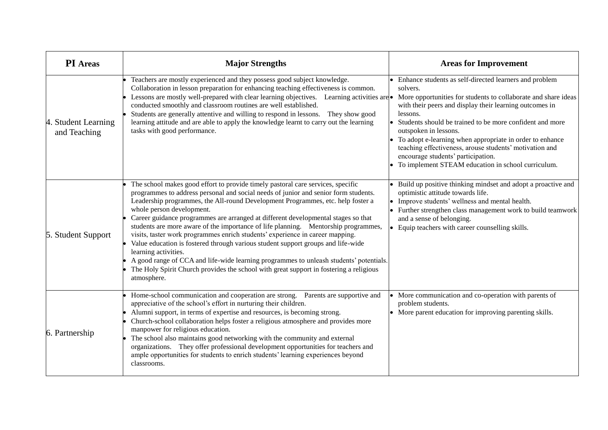| <b>PI</b> Areas                     | <b>Major Strengths</b>                                                                                                                                                                                                                                                                                                                                                                                                                                                                                                                                                                                                                                                                                                                                                                                                                                            | <b>Areas for Improvement</b>                                                                                                                                                                                                                                                                                                                                                                                                                                                                                              |
|-------------------------------------|-------------------------------------------------------------------------------------------------------------------------------------------------------------------------------------------------------------------------------------------------------------------------------------------------------------------------------------------------------------------------------------------------------------------------------------------------------------------------------------------------------------------------------------------------------------------------------------------------------------------------------------------------------------------------------------------------------------------------------------------------------------------------------------------------------------------------------------------------------------------|---------------------------------------------------------------------------------------------------------------------------------------------------------------------------------------------------------------------------------------------------------------------------------------------------------------------------------------------------------------------------------------------------------------------------------------------------------------------------------------------------------------------------|
| 4. Student Learning<br>and Teaching | Teachers are mostly experienced and they possess good subject knowledge.<br>Collaboration in lesson preparation for enhancing teaching effectiveness is common.<br>Lessons are mostly well-prepared with clear learning objectives. Learning activities are<br>conducted smoothly and classroom routines are well established.<br>Students are generally attentive and willing to respond in lessons. They show good<br>learning attitude and are able to apply the knowledge learnt to carry out the learning<br>tasks with good performance.                                                                                                                                                                                                                                                                                                                    | Enhance students as self-directed learners and problem<br>solvers.<br>More opportunities for students to collaborate and share ideas<br>with their peers and display their learning outcomes in<br>lessons.<br>• Students should be trained to be more confident and more<br>outspoken in lessons.<br>• To adopt e-learning when appropriate in order to enhance<br>teaching effectiveness, arouse students' motivation and<br>encourage students' participation.<br>• To implement STEAM education in school curriculum. |
| 5. Student Support                  | The school makes good effort to provide timely pastoral care services, specific<br>programmes to address personal and social needs of junior and senior form students.<br>Leadership programmes, the All-round Development Programmes, etc. help foster a<br>whole person development.<br>Career guidance programmes are arranged at different developmental stages so that<br>students are more aware of the importance of life planning. Mentorship programmes,<br>visits, taster work programmes enrich students' experience in career mapping.<br>Value education is fostered through various student support groups and life-wide<br>learning activities.<br>A good range of CCA and life-wide learning programmes to unleash students' potentials.<br>The Holy Spirit Church provides the school with great support in fostering a religious<br>atmosphere. | • Build up positive thinking mindset and adopt a proactive and<br>optimistic attitude towards life.<br>• Improve students' wellness and mental health.<br>• Further strengthen class management work to build teamwork<br>and a sense of belonging.<br>• Equip teachers with career counselling skills.                                                                                                                                                                                                                   |
| 6. Partnership                      | Home-school communication and cooperation are strong. Parents are supportive and<br>appreciative of the school's effort in nurturing their children.<br>Alumni support, in terms of expertise and resources, is becoming strong.<br>Church-school collaboration helps foster a religious atmosphere and provides more<br>manpower for religious education.<br>The school also maintains good networking with the community and external<br>organizations. They offer professional development opportunities for teachers and<br>ample opportunities for students to enrich students' learning experiences beyond<br>classrooms.                                                                                                                                                                                                                                   | More communication and co-operation with parents of<br>problem students.<br>• More parent education for improving parenting skills.                                                                                                                                                                                                                                                                                                                                                                                       |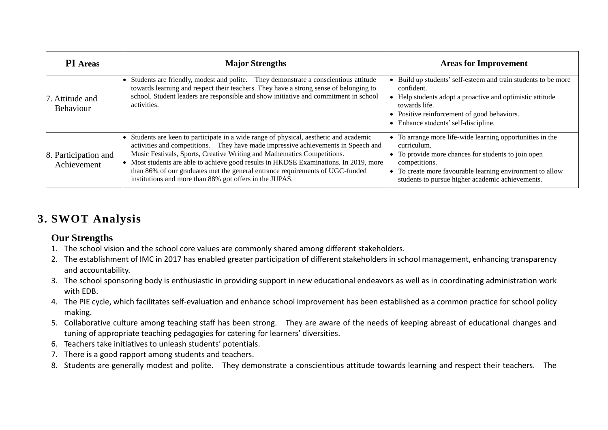| <b>PI</b> Areas                     | <b>Major Strengths</b>                                                                                                                                                                                                                                                                                                                                                                                                                                                                  | <b>Areas for Improvement</b>                                                                                                                                                                                                                                |
|-------------------------------------|-----------------------------------------------------------------------------------------------------------------------------------------------------------------------------------------------------------------------------------------------------------------------------------------------------------------------------------------------------------------------------------------------------------------------------------------------------------------------------------------|-------------------------------------------------------------------------------------------------------------------------------------------------------------------------------------------------------------------------------------------------------------|
| 7. Attitude and<br>Behaviour        | Students are friendly, modest and polite. They demonstrate a conscientious attitude<br>towards learning and respect their teachers. They have a strong sense of belonging to<br>school. Student leaders are responsible and show initiative and commitment in school<br>activities.                                                                                                                                                                                                     | Build up students' self-esteem and train students to be more<br>confident.<br>Help students adopt a proactive and optimistic attitude<br>towards life.<br>Positive reinforcement of good behaviors.<br>Enhance students' self-discipline.                   |
| 8. Participation and<br>Achievement | Students are keen to participate in a wide range of physical, aesthetic and academic<br>activities and competitions. They have made impressive achievements in Speech and<br>Music Festivals, Sports, Creative Writing and Mathematics Competitions.<br>Most students are able to achieve good results in HKDSE Examinations. In 2019, more<br>than 86% of our graduates met the general entrance requirements of UGC-funded<br>institutions and more than 88% got offers in the JUPAS. | To arrange more life-wide learning opportunities in the<br>curriculum.<br>To provide more chances for students to join open<br>competitions.<br>To create more favourable learning environment to allow<br>students to pursue higher academic achievements. |

### **3. SWOT Analysis**

#### **Our Strengths**

- 1. The school vision and the school core values are commonly shared among different stakeholders.
- 2. The establishment of IMC in 2017 has enabled greater participation of different stakeholders in school management, enhancing transparency and accountability.
- 3. The school sponsoring body is enthusiastic in providing support in new educational endeavors as well as in coordinating administration work with EDB.
- 4. The PIE cycle, which facilitates self-evaluation and enhance school improvement has been established as a common practice for school policy making.
- 5. Collaborative culture among teaching staff has been strong. They are aware of the needs of keeping abreast of educational changes and tuning of appropriate teaching pedagogies for catering for learners' diversities.
- 6. Teachers take initiatives to unleash students' potentials.
- 7. There is a good rapport among students and teachers.
- 8. Students are generally modest and polite. They demonstrate a conscientious attitude towards learning and respect their teachers. The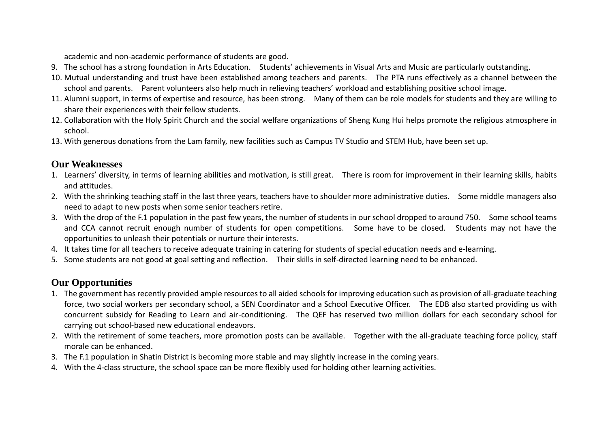academic and non-academic performance of students are good.

- 9. The school has a strong foundation in Arts Education. Students' achievements in Visual Arts and Music are particularly outstanding.
- 10. Mutual understanding and trust have been established among teachers and parents. The PTA runs effectively as a channel between the school and parents. Parent volunteers also help much in relieving teachers' workload and establishing positive school image.
- 11. Alumni support, in terms of expertise and resource, has been strong. Many of them can be role models for students and they are willing to share their experiences with their fellow students.
- 12. Collaboration with the Holy Spirit Church and the social welfare organizations of Sheng Kung Hui helps promote the religious atmosphere in school.
- 13. With generous donations from the Lam family, new facilities such as Campus TV Studio and STEM Hub, have been set up.

#### **Our Weaknesses**

- 1. Learners' diversity, in terms of learning abilities and motivation, is still great. There is room for improvement in their learning skills, habits and attitudes.
- 2. With the shrinking teaching staff in the last three years, teachers have to shoulder more administrative duties. Some middle managers also need to adapt to new posts when some senior teachers retire.
- 3. With the drop of the F.1 population in the past few years, the number of students in our school dropped to around 750. Some school teams and CCA cannot recruit enough number of students for open competitions. Some have to be closed. Students may not have the opportunities to unleash their potentials or nurture their interests.
- 4. It takes time for all teachers to receive adequate training in catering for students of special education needs and e-learning.
- 5. Some students are not good at goal setting and reflection. Their skills in self-directed learning need to be enhanced.

### **Our Opportunities**

- 1. The government has recently provided ample resources to all aided schools for improving education such as provision of all-graduate teaching force, two social workers per secondary school, a SEN Coordinator and a School Executive Officer. The EDB also started providing us with concurrent subsidy for Reading to Learn and air-conditioning. The QEF has reserved two million dollars for each secondary school for carrying out school-based new educational endeavors.
- 2. With the retirement of some teachers, more promotion posts can be available. Together with the all-graduate teaching force policy, staff morale can be enhanced.
- 3. The F.1 population in Shatin District is becoming more stable and may slightly increase in the coming years.
- 4. With the 4-class structure, the school space can be more flexibly used for holding other learning activities.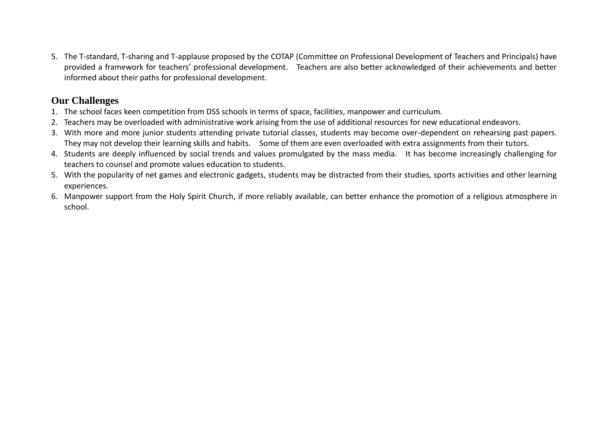5. The T-standard, T-sharing and T-applause proposed by the COTAP (Committee on Professional Development of Teachers and Principals) have provided a framework for teachers' professional development. Teachers are also better acknowledged of their achievements and better informed about their paths for professional development.

#### **Our Challenges**

- 1. The school faces keen competition from DSS schools in terms of space, facilities, manpower and curriculum.
- 2. Teachers may be overloaded with administrative work arising from the use of additional resources for new educational endeavors.
- 3. With more and more junior students attending private tutorial classes, students may become over-dependent on rehearsing past papers. They may not develop their learning skills and habits. Some of them are even overloaded with extra assignments from their tutors.
- 4. Students are deeply influenced by social trends and values promulgated by the mass media. It has become increasingly challenging for teachers to counsel and promote values education to students.
- 5. With the popularity of net games and electronic gadgets, students may be distracted from their studies, sports activities and other learning experiences.
- 6. Manpower support from the Holy Spirit Church, if more reliably available, can better enhance the promotion of a religious atmosphere in school.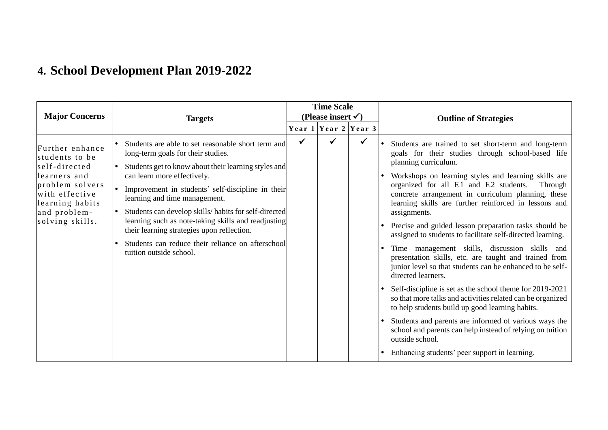# **4. School Development Plan 2019-2022**

| <b>Major Concerns</b>                                                                                                                                         | <b>Targets</b>                                                                                                                                                                                                                                                                                                                                                                                                                                                                                                     |   | <b>Time Scale</b><br>(Please insert $\checkmark$ ) |                          | <b>Outline of Strategies</b>                                                                                                                                                                                                                                                                                                                                                                                                                                                                                                                                                                                                                                                                                                                                                                                                                                                                                                                                                                                                                                                                        |
|---------------------------------------------------------------------------------------------------------------------------------------------------------------|--------------------------------------------------------------------------------------------------------------------------------------------------------------------------------------------------------------------------------------------------------------------------------------------------------------------------------------------------------------------------------------------------------------------------------------------------------------------------------------------------------------------|---|----------------------------------------------------|--------------------------|-----------------------------------------------------------------------------------------------------------------------------------------------------------------------------------------------------------------------------------------------------------------------------------------------------------------------------------------------------------------------------------------------------------------------------------------------------------------------------------------------------------------------------------------------------------------------------------------------------------------------------------------------------------------------------------------------------------------------------------------------------------------------------------------------------------------------------------------------------------------------------------------------------------------------------------------------------------------------------------------------------------------------------------------------------------------------------------------------------|
|                                                                                                                                                               |                                                                                                                                                                                                                                                                                                                                                                                                                                                                                                                    |   |                                                    | Year $1$ Year $2$ Year 3 |                                                                                                                                                                                                                                                                                                                                                                                                                                                                                                                                                                                                                                                                                                                                                                                                                                                                                                                                                                                                                                                                                                     |
| Further enhance<br>students to be<br>self-directed<br>learners and<br>problem solvers<br>with effective<br>learning habits<br>and problem-<br>solving skills. | Students are able to set reasonable short term and<br>long-term goals for their studies.<br>Students get to know about their learning styles and<br>can learn more effectively.<br>Improvement in students' self-discipline in their<br>learning and time management.<br>Students can develop skills/habits for self-directed<br>learning such as note-taking skills and readjusting<br>their learning strategies upon reflection.<br>Students can reduce their reliance on afterschool<br>tuition outside school. | ✔ | ✔                                                  | ✓                        | Students are trained to set short-term and long-term<br>goals for their studies through school-based life<br>planning curriculum.<br>Workshops on learning styles and learning skills are<br>organized for all F.1 and F.2 students.<br>Through<br>concrete arrangement in curriculum planning, these<br>learning skills are further reinforced in lessons and<br>assignments.<br>Precise and guided lesson preparation tasks should be<br>assigned to students to facilitate self-directed learning.<br>Time management skills, discussion skills and<br>$\bullet$<br>presentation skills, etc. are taught and trained from<br>junior level so that students can be enhanced to be self-<br>directed learners.<br>Self-discipline is set as the school theme for 2019-2021<br>so that more talks and activities related can be organized<br>to help students build up good learning habits.<br>Students and parents are informed of various ways the<br>$\bullet$<br>school and parents can help instead of relying on tuition<br>outside school.<br>Enhancing students' peer support in learning. |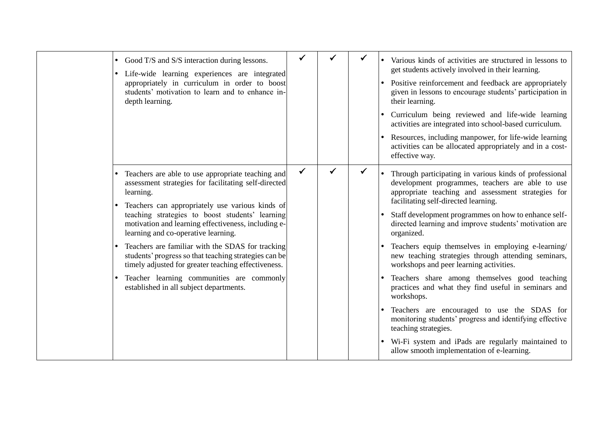| Good T/S and S/S interaction during lessons.<br>$\bullet$<br>Life-wide learning experiences are integrated<br>appropriately in curriculum in order to boost<br>students' motivation to learn and to enhance in-<br>depth learning.                                                                                                                                                                                                                                                                                                                                                     |   |  | Various kinds of activities are structured in lessons to<br>get students actively involved in their learning.<br>Positive reinforcement and feedback are appropriately<br>given in lessons to encourage students' participation in<br>their learning.<br>Curriculum being reviewed and life-wide learning<br>activities are integrated into school-based curriculum.<br>Resources, including manpower, for life-wide learning<br>activities can be allocated appropriately and in a cost-<br>effective way.                                                                                                                                                                                                                                                                                                                                                    |
|----------------------------------------------------------------------------------------------------------------------------------------------------------------------------------------------------------------------------------------------------------------------------------------------------------------------------------------------------------------------------------------------------------------------------------------------------------------------------------------------------------------------------------------------------------------------------------------|---|--|----------------------------------------------------------------------------------------------------------------------------------------------------------------------------------------------------------------------------------------------------------------------------------------------------------------------------------------------------------------------------------------------------------------------------------------------------------------------------------------------------------------------------------------------------------------------------------------------------------------------------------------------------------------------------------------------------------------------------------------------------------------------------------------------------------------------------------------------------------------|
| Teachers are able to use appropriate teaching and<br>assessment strategies for facilitating self-directed<br>learning.<br>Teachers can appropriately use various kinds of<br>teaching strategies to boost students' learning<br>motivation and learning effectiveness, including e-<br>learning and co-operative learning.<br>Teachers are familiar with the SDAS for tracking<br>students' progress so that teaching strategies can be<br>timely adjusted for greater teaching effectiveness.<br>Teacher learning communities are commonly<br>established in all subject departments. | ✓ |  | Through participating in various kinds of professional<br>development programmes, teachers are able to use<br>appropriate teaching and assessment strategies for<br>facilitating self-directed learning.<br>Staff development programmes on how to enhance self-<br>directed learning and improve students' motivation are<br>organized.<br>Teachers equip themselves in employing e-learning/<br>new teaching strategies through attending seminars,<br>workshops and peer learning activities.<br>Teachers share among themselves good teaching<br>practices and what they find useful in seminars and<br>workshops.<br>Teachers are encouraged to use the SDAS for<br>monitoring students' progress and identifying effective<br>teaching strategies.<br>• Wi-Fi system and iPads are regularly maintained to<br>allow smooth implementation of e-learning. |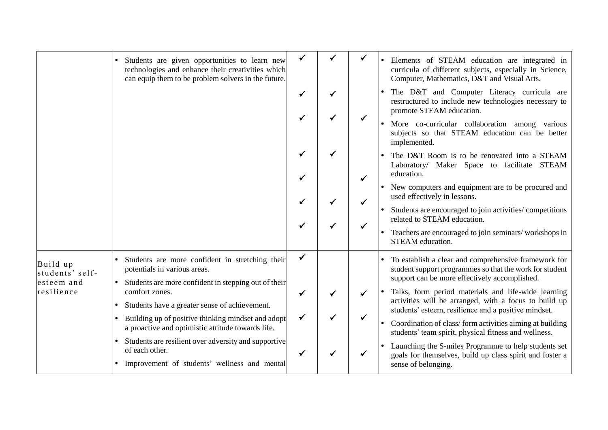|                                           | Students are given opportunities to learn new<br>technologies and enhance their creativities which<br>can equip them to be problem solvers in the future.                  |              |  | Elements of STEAM education are integrated in<br>curricula of different subjects, especially in Science,<br>Computer, Mathematics, D&T and Visual Arts.                   |
|-------------------------------------------|----------------------------------------------------------------------------------------------------------------------------------------------------------------------------|--------------|--|---------------------------------------------------------------------------------------------------------------------------------------------------------------------------|
|                                           |                                                                                                                                                                            |              |  | The D&T and Computer Literacy curricula are<br>restructured to include new technologies necessary to<br>promote STEAM education.                                          |
|                                           |                                                                                                                                                                            |              |  | More co-curricular collaboration among various<br>subjects so that STEAM education can be better<br>implemented.                                                          |
|                                           |                                                                                                                                                                            |              |  | The D&T Room is to be renovated into a STEAM<br>Laboratory/ Maker Space to facilitate STEAM<br>education.                                                                 |
|                                           |                                                                                                                                                                            |              |  | New computers and equipment are to be procured and<br>used effectively in lessons.                                                                                        |
|                                           |                                                                                                                                                                            |              |  | Students are encouraged to join activities/ competitions<br>related to STEAM education.<br>Teachers are encouraged to join seminars/workshops in<br>STEAM education.      |
| Build up<br>students' self-<br>esteem and | Students are more confident in stretching their<br>potentials in various areas.<br>Students are more confident in stepping out of their                                    | $\checkmark$ |  | To establish a clear and comprehensive framework for<br>student support programmes so that the work for student<br>support can be more effectively accomplished.          |
| resilience                                | comfort zones.<br>Students have a greater sense of achievement.<br>Building up of positive thinking mindset and adopt<br>a proactive and optimistic attitude towards life. |              |  | Talks, form period materials and life-wide learning<br>activities will be arranged, with a focus to build up                                                              |
|                                           |                                                                                                                                                                            | $\checkmark$ |  | students' esteem, resilience and a positive mindset.<br>Coordination of class/form activities aiming at building<br>students' team spirit, physical fitness and wellness. |
|                                           | Students are resilient over adversity and supportive<br>of each other.<br>Improvement of students' wellness and mental                                                     |              |  | Launching the S-miles Programme to help students set<br>goals for themselves, build up class spirit and foster a<br>sense of belonging.                                   |
|                                           |                                                                                                                                                                            |              |  |                                                                                                                                                                           |